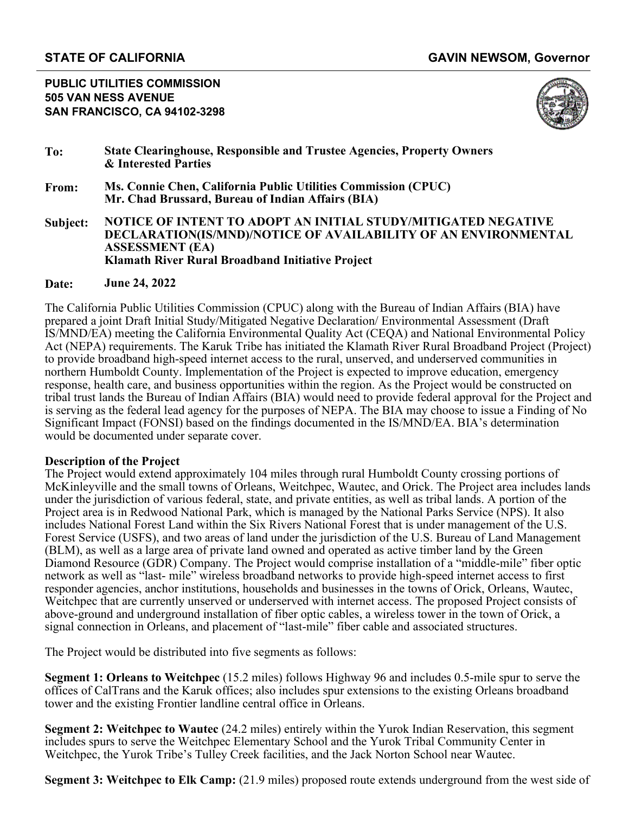**PUBLIC UTILITIES COMMISSION 505 VAN NESS AVENUE SAN FRANCISCO, CA 94102-3298**



- **To: State Clearinghouse, Responsible and Trustee Agencies, Property Owners & Interested Parties**
- **From: Ms. Connie Chen, California Public Utilities Commission (CPUC) Mr. Chad Brussard, Bureau of Indian Affairs (BIA)**
- **Subject: NOTICE OF INTENT TO ADOPT AN INITIAL STUDY/MITIGATED NEGATIVE DECLARATION(IS/MND)/NOTICE OF AVAILABILITY OF AN ENVIRONMENTAL ASSESSMENT (EA) Klamath River Rural Broadband Initiative Project**

### **Date: June 24, 2022**

The California Public Utilities Commission (CPUC) along with the Bureau of Indian Affairs (BIA) have prepared a joint Draft Initial Study/Mitigated Negative Declaration/ Environmental Assessment (Draft IS/MND/EA) meeting the California Environmental Quality Act (CEQA) and National Environmental Policy Act (NEPA) requirements. The Karuk Tribe has initiated the Klamath River Rural Broadband Project (Project) to provide broadband high-speed internet access to the rural, unserved, and underserved communities in northern Humboldt County. Implementation of the Project is expected to improve education, emergency response, health care, and business opportunities within the region. As the Project would be constructed on tribal trust lands the Bureau of Indian Affairs (BIA) would need to provide federal approval for the Project and is serving as the federal lead agency for the purposes of NEPA. The BIA may choose to issue a Finding of No Significant Impact (FONSI) based on the findings documented in the IS/MND/EA. BIA's determination would be documented under separate cover.

### **Description of the Project**

The Project would extend approximately 104 miles through rural Humboldt County crossing portions of McKinleyville and the small towns of Orleans, Weitchpec, Wautec, and Orick. The Project area includes lands under the jurisdiction of various federal, state, and private entities, as well as tribal lands. A portion of the Project area is in Redwood National Park, which is managed by the National Parks Service (NPS). It also includes National Forest Land within the Six Rivers National Forest that is under management of the U.S. Forest Service (USFS), and two areas of land under the jurisdiction of the U.S. Bureau of Land Management (BLM), as well as a large area of private land owned and operated as active timber land by the Green Diamond Resource (GDR) Company. The Project would comprise installation of a "middle-mile" fiber optic network as well as "last- mile" wireless broadband networks to provide high-speed internet access to first responder agencies, anchor institutions, households and businesses in the towns of Orick, Orleans, Wautec, Weitchpec that are currently unserved or underserved with internet access. The proposed Project consists of above-ground and underground installation of fiber optic cables, a wireless tower in the town of Orick, a signal connection in Orleans, and placement of "last-mile" fiber cable and associated structures.

The Project would be distributed into five segments as follows:

**Segment 1: Orleans to Weitchpec** (15.2 miles) follows Highway 96 and includes 0.5-mile spur to serve the offices of CalTrans and the Karuk offices; also includes spur extensions to the existing Orleans broadband tower and the existing Frontier landline central office in Orleans.

**Segment 2: Weitchpec to Wautec** (24.2 miles) entirely within the Yurok Indian Reservation, this segment includes spurs to serve the Weitchpec Elementary School and the Yurok Tribal Community Center in Weitchpec, the Yurok Tribe's Tulley Creek facilities, and the Jack Norton School near Wautec.

**Segment 3: Weitchpec to Elk Camp:** (21.9 miles) proposed route extends underground from the west side of